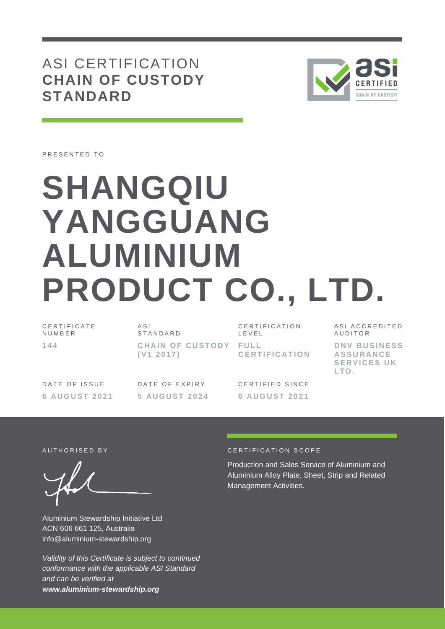ASI CERTIFICATION **CHAIN OF CUSTODY STANDARD**



PRESENTED TO

# **SHANGQIU YANGGUANG ALUMINIUM PRODUCT CO., LTD.**

C E R T I F I C A T E **NUMBER 1 4 4**

A S I **STANDARD CHAIN OF CUSTODY FULL ( V1 2 0 1 7 )**

CERTIFICATION L E V E L **C E R T I F I C A T I O N**

DATE OF ISSUE **6 A U G U S T 2 0 2 1** DATE OF EXPIRY **5 A U G U S T 202 4**

CERTIFIED SINCE **6 A U G U S T 2 0 2 1** ASI ACCREDITED **AUDITOR** 

**D N V B U S I N E S S A S S U R A N C E SERVICES UK L T D .**

Aluminium Stewardship Initiative Ltd ACN 606 661 125, Australia info@aluminium-stewardship.org

*Validity of this Certificate is subject to continued conformance with the applicable ASI Standard and can be verified at www.aluminium-stewardship.org*

#### AUTHORISED BY **CERTIFICATION SCOPE**

Production and Sales Service of Aluminium and Aluminium Alloy Plate, Sheet, Strip and Related Management Activities.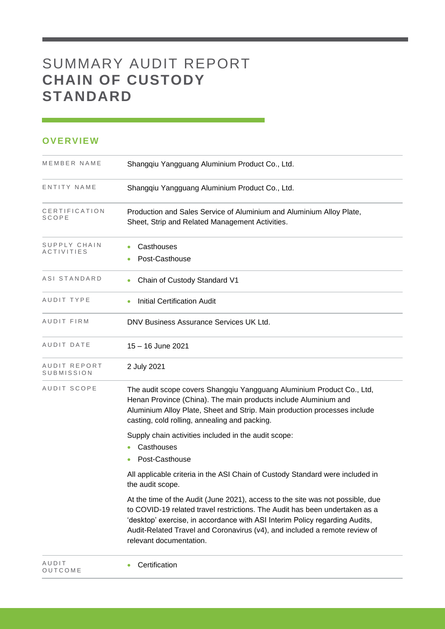## SUMMARY AUDIT REPORT **CHAIN OF CUSTODY STANDARD**

## **OVERVIEW**

O U T C O M E

| MEMBER NAME                | Shangqiu Yangguang Aluminium Product Co., Ltd.                                                                                                                                                                                                                                                                                                        |
|----------------------------|-------------------------------------------------------------------------------------------------------------------------------------------------------------------------------------------------------------------------------------------------------------------------------------------------------------------------------------------------------|
| ENTITY NAME                | Shangqiu Yangguang Aluminium Product Co., Ltd.                                                                                                                                                                                                                                                                                                        |
| CERTIFICATION<br>SCOPE     | Production and Sales Service of Aluminium and Aluminium Alloy Plate,<br>Sheet, Strip and Related Management Activities.                                                                                                                                                                                                                               |
| SUPPLY CHAIN<br>ACTIVITIES | Casthouses<br>Post-Casthouse                                                                                                                                                                                                                                                                                                                          |
| ASI STANDARD               | Chain of Custody Standard V1                                                                                                                                                                                                                                                                                                                          |
| AUDIT TYPE                 | <b>Initial Certification Audit</b>                                                                                                                                                                                                                                                                                                                    |
| AUDIT FIRM                 | DNV Business Assurance Services UK Ltd.                                                                                                                                                                                                                                                                                                               |
| AUDIT DATE                 | 15 - 16 June 2021                                                                                                                                                                                                                                                                                                                                     |
| AUDIT REPORT<br>SUBMISSION | 2 July 2021                                                                                                                                                                                                                                                                                                                                           |
| AUDIT SCOPE                | The audit scope covers Shangqiu Yangguang Aluminium Product Co., Ltd,<br>Henan Province (China). The main products include Aluminium and<br>Aluminium Alloy Plate, Sheet and Strip. Main production processes include<br>casting, cold rolling, annealing and packing.                                                                                |
|                            | Supply chain activities included in the audit scope:<br>Casthouses<br>Post-Casthouse                                                                                                                                                                                                                                                                  |
|                            | All applicable criteria in the ASI Chain of Custody Standard were included in<br>the audit scope.                                                                                                                                                                                                                                                     |
|                            | At the time of the Audit (June 2021), access to the site was not possible, due<br>to COVID-19 related travel restrictions. The Audit has been undertaken as a<br>'desktop' exercise, in accordance with ASI Interim Policy regarding Audits,<br>Audit-Related Travel and Coronavirus (v4), and included a remote review of<br>relevant documentation. |
| AUDIT                      | Certification                                                                                                                                                                                                                                                                                                                                         |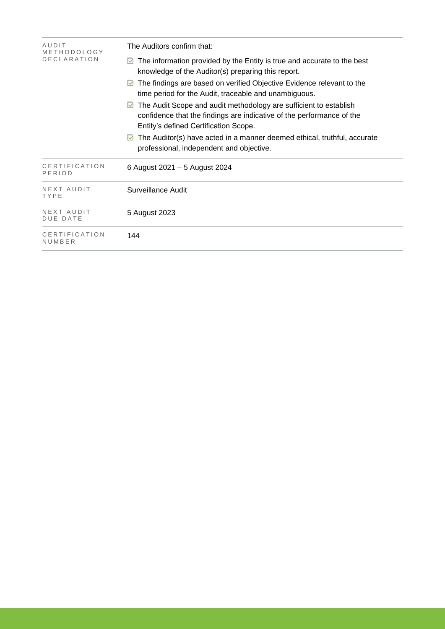| AUDIT<br>METHODOLOGY           | The Auditors confirm that:                                                                                                                                                               |  |  |  |  |
|--------------------------------|------------------------------------------------------------------------------------------------------------------------------------------------------------------------------------------|--|--|--|--|
| <b>DECLARATION</b>             | $\blacksquare$ The information provided by the Entity is true and accurate to the best<br>knowledge of the Auditor(s) preparing this report.                                             |  |  |  |  |
|                                | The findings are based on verified Objective Evidence relevant to the<br>M<br>time period for the Audit, traceable and unambiguous.                                                      |  |  |  |  |
|                                | The Audit Scope and audit methodology are sufficient to establish<br>M<br>confidence that the findings are indicative of the performance of the<br>Entity's defined Certification Scope. |  |  |  |  |
|                                | The Auditor(s) have acted in a manner deemed ethical, truthful, accurate<br>M<br>professional, independent and objective.                                                                |  |  |  |  |
| <b>CERTIFICATION</b><br>PERIOD | 6 August 2021 - 5 August 2024                                                                                                                                                            |  |  |  |  |
| NEXT AUDIT<br>TYPE             | Surveillance Audit                                                                                                                                                                       |  |  |  |  |
| NEXT AUDIT<br>DUE DATE         | 5 August 2023                                                                                                                                                                            |  |  |  |  |
| CERTIFICATION<br>NUMBER        | 144                                                                                                                                                                                      |  |  |  |  |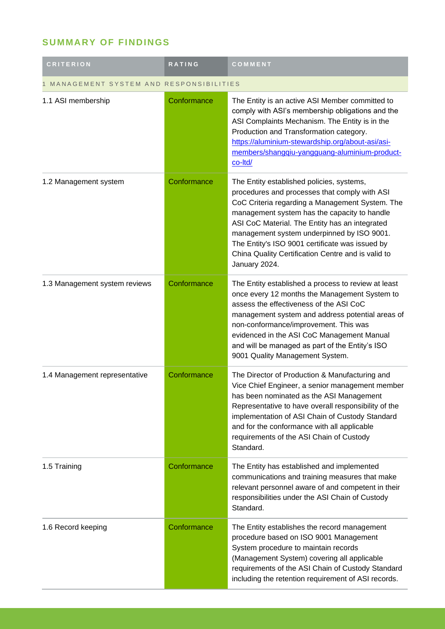## **SUMMARY OF FINDINGS**

| <b>CRITERION</b>                       | <b>RATING</b> | COMMENT                                                                                                                                                                                                                                                                                                                                                                                                                 |  |
|----------------------------------------|---------------|-------------------------------------------------------------------------------------------------------------------------------------------------------------------------------------------------------------------------------------------------------------------------------------------------------------------------------------------------------------------------------------------------------------------------|--|
| MANAGEMENT SYSTEM AND RESPONSIBILITIES |               |                                                                                                                                                                                                                                                                                                                                                                                                                         |  |
| 1.1 ASI membership                     | Conformance   | The Entity is an active ASI Member committed to<br>comply with ASI's membership obligations and the<br>ASI Complaints Mechanism. The Entity is in the<br>Production and Transformation category.<br>https://aluminium-stewardship.org/about-asi/asi-<br>members/shangqiu-yangguang-aluminium-product-<br>co-Itd/                                                                                                        |  |
| 1.2 Management system                  | Conformance   | The Entity established policies, systems,<br>procedures and processes that comply with ASI<br>CoC Criteria regarding a Management System. The<br>management system has the capacity to handle<br>ASI CoC Material. The Entity has an integrated<br>management system underpinned by ISO 9001.<br>The Entity's ISO 9001 certificate was issued by<br>China Quality Certification Centre and is valid to<br>January 2024. |  |
| 1.3 Management system reviews          | Conformance   | The Entity established a process to review at least<br>once every 12 months the Management System to<br>assess the effectiveness of the ASI CoC<br>management system and address potential areas of<br>non-conformance/improvement. This was<br>evidenced in the ASI CoC Management Manual<br>and will be managed as part of the Entity's ISO<br>9001 Quality Management System.                                        |  |
| 1.4 Management representative          | Conformance   | The Director of Production & Manufacturing and<br>Vice Chief Engineer, a senior management member<br>has been nominated as the ASI Management<br>Representative to have overall responsibility of the<br>implementation of ASI Chain of Custody Standard<br>and for the conformance with all applicable<br>requirements of the ASI Chain of Custody<br>Standard.                                                        |  |
| 1.5 Training                           | Conformance   | The Entity has established and implemented<br>communications and training measures that make<br>relevant personnel aware of and competent in their<br>responsibilities under the ASI Chain of Custody<br>Standard.                                                                                                                                                                                                      |  |
| 1.6 Record keeping                     | Conformance   | The Entity establishes the record management<br>procedure based on ISO 9001 Management<br>System procedure to maintain records<br>(Management System) covering all applicable<br>requirements of the ASI Chain of Custody Standard<br>including the retention requirement of ASI records.                                                                                                                               |  |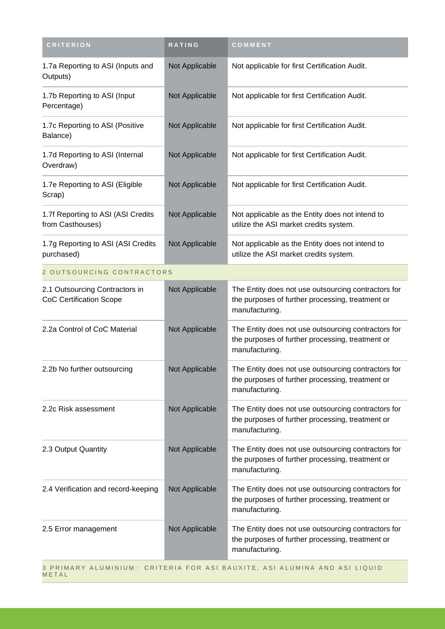| <b>CRITERION</b>                                                                   | RATING         | COMMENT                                                                                                                   |
|------------------------------------------------------------------------------------|----------------|---------------------------------------------------------------------------------------------------------------------------|
| 1.7a Reporting to ASI (Inputs and<br>Outputs)                                      | Not Applicable | Not applicable for first Certification Audit.                                                                             |
| 1.7b Reporting to ASI (Input<br>Percentage)                                        | Not Applicable | Not applicable for first Certification Audit.                                                                             |
| 1.7c Reporting to ASI (Positive<br>Balance)                                        | Not Applicable | Not applicable for first Certification Audit.                                                                             |
| 1.7d Reporting to ASI (Internal<br>Overdraw)                                       | Not Applicable | Not applicable for first Certification Audit.                                                                             |
| 1.7e Reporting to ASI (Eligible<br>Scrap)                                          | Not Applicable | Not applicable for first Certification Audit.                                                                             |
| 1.7f Reporting to ASI (ASI Credits<br>from Casthouses)                             | Not Applicable | Not applicable as the Entity does not intend to<br>utilize the ASI market credits system.                                 |
| 1.7g Reporting to ASI (ASI Credits<br>purchased)                                   | Not Applicable | Not applicable as the Entity does not intend to<br>utilize the ASI market credits system.                                 |
| 2 OUTSOURCING CONTRACTORS                                                          |                |                                                                                                                           |
| 2.1 Outsourcing Contractors in<br><b>CoC Certification Scope</b>                   | Not Applicable | The Entity does not use outsourcing contractors for<br>the purposes of further processing, treatment or<br>manufacturing. |
| 2.2a Control of CoC Material                                                       | Not Applicable | The Entity does not use outsourcing contractors for<br>the purposes of further processing, treatment or<br>manufacturing. |
| 2.2b No further outsourcing                                                        | Not Applicable | The Entity does not use outsourcing contractors for<br>the purposes of further processing, treatment or<br>manufacturing. |
| 2.2c Risk assessment                                                               | Not Applicable | The Entity does not use outsourcing contractors for<br>the purposes of further processing, treatment or<br>manufacturing. |
| 2.3 Output Quantity                                                                | Not Applicable | The Entity does not use outsourcing contractors for<br>the purposes of further processing, treatment or<br>manufacturing. |
| 2.4 Verification and record-keeping                                                | Not Applicable | The Entity does not use outsourcing contractors for<br>the purposes of further processing, treatment or<br>manufacturing. |
| 2.5 Error management                                                               | Not Applicable | The Entity does not use outsourcing contractors for<br>the purposes of further processing, treatment or<br>manufacturing. |
| 3 PRIMARY ALUMINIUM: CRITERIA FOR ASI BAUXITE, ASI ALUMINA AND ASI LIQUID<br>METAL |                |                                                                                                                           |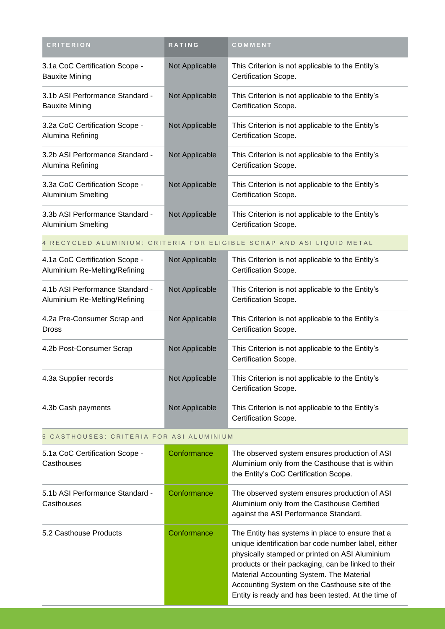| <b>CRITERION</b>                                             | RATING         | COMMENT                                                                  |
|--------------------------------------------------------------|----------------|--------------------------------------------------------------------------|
| 3.1a CoC Certification Scope -<br><b>Bauxite Mining</b>      | Not Applicable | This Criterion is not applicable to the Entity's<br>Certification Scope. |
| 3.1b ASI Performance Standard -<br>Bauxite Mining            | Not Applicable | This Criterion is not applicable to the Entity's<br>Certification Scope. |
| 3.2a CoC Certification Scope -<br>Alumina Refining           | Not Applicable | This Criterion is not applicable to the Entity's<br>Certification Scope. |
| 3.2b ASI Performance Standard -<br>Alumina Refining          | Not Applicable | This Criterion is not applicable to the Entity's<br>Certification Scope. |
| 3.3a CoC Certification Scope -<br>Aluminium Smelting         | Not Applicable | This Criterion is not applicable to the Entity's<br>Certification Scope. |
| 3.3b ASI Performance Standard -<br><b>Aluminium Smelting</b> | Not Applicable | This Criterion is not applicable to the Entity's<br>Certification Scope. |

#### 4 RECYCLED ALUMINIUM: CRITERIA FOR ELIGIBLE SCRAP AND ASI LIQUID METAL

| 4.1a CoC Certification Scope -<br>Aluminium Re-Melting/Refining  | Not Applicable | This Criterion is not applicable to the Entity's<br>Certification Scope. |
|------------------------------------------------------------------|----------------|--------------------------------------------------------------------------|
| 4.1b ASI Performance Standard -<br>Aluminium Re-Melting/Refining | Not Applicable | This Criterion is not applicable to the Entity's<br>Certification Scope. |
| 4.2a Pre-Consumer Scrap and<br><b>Dross</b>                      | Not Applicable | This Criterion is not applicable to the Entity's<br>Certification Scope. |
| 4.2b Post-Consumer Scrap                                         | Not Applicable | This Criterion is not applicable to the Entity's<br>Certification Scope. |
| 4.3a Supplier records                                            | Not Applicable | This Criterion is not applicable to the Entity's<br>Certification Scope. |
| 4.3b Cash payments                                               | Not Applicable | This Criterion is not applicable to the Entity's<br>Certification Scope. |

## 5 CASTHOUSES: CRITERIA FOR ASI ALUMINIUM

| 5.1a CoC Certification Scope -<br>Casthouses  | Conformance | The observed system ensures production of ASI<br>Aluminium only from the Casthouse that is within<br>the Entity's CoC Certification Scope.                                                                                                                                                                                                                            |
|-----------------------------------------------|-------------|-----------------------------------------------------------------------------------------------------------------------------------------------------------------------------------------------------------------------------------------------------------------------------------------------------------------------------------------------------------------------|
| 5.1b ASI Performance Standard -<br>Casthouses | Conformance | The observed system ensures production of ASI<br>Aluminium only from the Casthouse Certified<br>against the ASI Performance Standard.                                                                                                                                                                                                                                 |
| 5.2 Casthouse Products                        | Conformance | The Entity has systems in place to ensure that a<br>unique identification bar code number label, either<br>physically stamped or printed on ASI Aluminium<br>products or their packaging, can be linked to their<br>Material Accounting System. The Material<br>Accounting System on the Casthouse site of the<br>Entity is ready and has been tested. At the time of |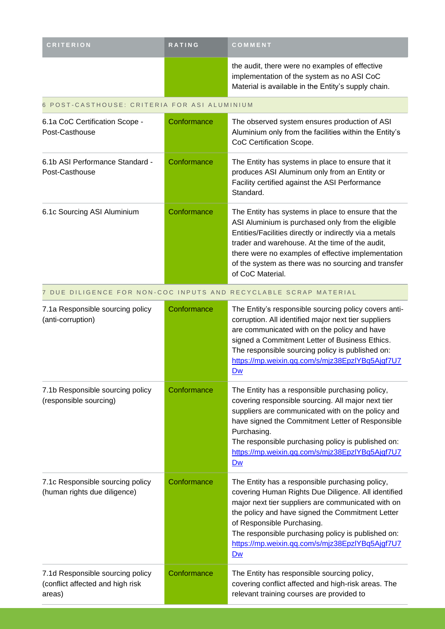| <b>CRITERION</b> | <b>RATING</b> | COMMENT                                                                                                                                             |
|------------------|---------------|-----------------------------------------------------------------------------------------------------------------------------------------------------|
|                  |               | the audit, there were no examples of effective<br>implementation of the system as no ASI CoC<br>Material is available in the Entity's supply chain. |

### 6 POST-CASTHOUSE: CRITERIA FOR ASI ALUMINIUM

| 6.1a CoC Certification Scope -<br>Post-Casthouse                               | Conformance | The observed system ensures production of ASI<br>Aluminium only from the facilities within the Entity's<br>CoC Certification Scope.                                                                                                                                                                                                                           |
|--------------------------------------------------------------------------------|-------------|---------------------------------------------------------------------------------------------------------------------------------------------------------------------------------------------------------------------------------------------------------------------------------------------------------------------------------------------------------------|
| 6.1b ASI Performance Standard -<br>Post-Casthouse                              | Conformance | The Entity has systems in place to ensure that it<br>produces ASI Aluminum only from an Entity or<br>Facility certified against the ASI Performance<br>Standard.                                                                                                                                                                                              |
| 6.1c Sourcing ASI Aluminium                                                    | Conformance | The Entity has systems in place to ensure that the<br>ASI Aluminium is purchased only from the eligible<br>Entities/Facilities directly or indirectly via a metals<br>trader and warehouse. At the time of the audit,<br>there were no examples of effective implementation<br>of the system as there was no sourcing and transfer<br>of CoC Material.        |
|                                                                                |             | 7 DUE DILIGENCE FOR NON-COC INPUTS AND RECYCLABLE SCRAP MATERIAL                                                                                                                                                                                                                                                                                              |
| 7.1a Responsible sourcing policy<br>(anti-corruption)                          | Conformance | The Entity's responsible sourcing policy covers anti-<br>corruption. All identified major next tier suppliers<br>are communicated with on the policy and have<br>signed a Commitment Letter of Business Ethics.<br>The responsible sourcing policy is published on:<br>https://mp.weixin.qq.com/s/mjz38EpzlYBq5Ajgf7U7<br>Dw                                  |
| 7.1b Responsible sourcing policy<br>(responsible sourcing)                     | Conformance | The Entity has a responsible purchasing policy,<br>covering responsible sourcing. All major next tier<br>suppliers are communicated with on the policy and<br>have signed the Commitment Letter of Responsible<br>Purchasing.<br>The responsible purchasing policy is published on:<br>https://mp.weixin.qq.com/s/mjz38EpzlYBq5Ajgf7U7<br>Dw                  |
| 7.1c Responsible sourcing policy<br>(human rights due diligence)               | Conformance | The Entity has a responsible purchasing policy,<br>covering Human Rights Due Diligence. All identified<br>major next tier suppliers are communicated with on<br>the policy and have signed the Commitment Letter<br>of Responsible Purchasing.<br>The responsible purchasing policy is published on:<br>https://mp.weixin.qq.com/s/mjz38EpzlYBq5Ajgf7U7<br>Dw |
| 7.1d Responsible sourcing policy<br>(conflict affected and high risk<br>areas) | Conformance | The Entity has responsible sourcing policy,<br>covering conflict affected and high-risk areas. The<br>relevant training courses are provided to                                                                                                                                                                                                               |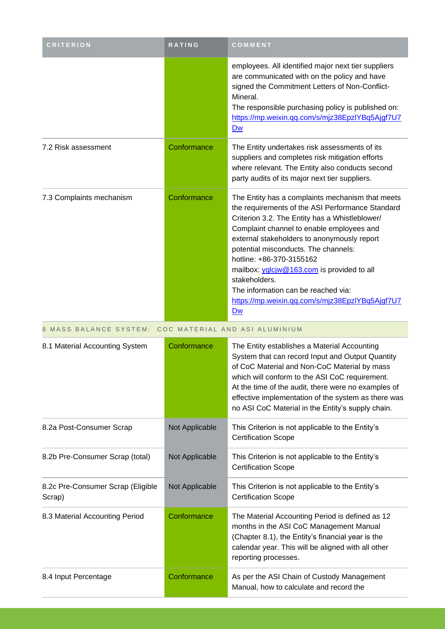| <b>CRITERION</b>                                      | RATING         | COMMENT                                                                                                                                                                                                                                                                                                                                                                                                                                                                               |  |  |
|-------------------------------------------------------|----------------|---------------------------------------------------------------------------------------------------------------------------------------------------------------------------------------------------------------------------------------------------------------------------------------------------------------------------------------------------------------------------------------------------------------------------------------------------------------------------------------|--|--|
|                                                       |                | employees. All identified major next tier suppliers<br>are communicated with on the policy and have<br>signed the Commitment Letters of Non-Conflict-<br>Mineral.<br>The responsible purchasing policy is published on:<br>https://mp.weixin.qq.com/s/mjz38EpzlYBq5Ajgf7U7<br>Dw                                                                                                                                                                                                      |  |  |
| 7.2 Risk assessment                                   | Conformance    | The Entity undertakes risk assessments of its<br>suppliers and completes risk mitigation efforts<br>where relevant. The Entity also conducts second<br>party audits of its major next tier suppliers.                                                                                                                                                                                                                                                                                 |  |  |
| 7.3 Complaints mechanism                              | Conformance    | The Entity has a complaints mechanism that meets<br>the requirements of the ASI Performance Standard<br>Criterion 3.2. The Entity has a Whistleblower/<br>Complaint channel to enable employees and<br>external stakeholders to anonymously report<br>potential misconducts. The channels:<br>hotline: +86-370-3155162<br>mailbox: yglcjw@163.com is provided to all<br>stakeholders.<br>The information can be reached via:<br>https://mp.weixin.qq.com/s/mjz38EpzlYBq5Ajgf7U7<br>Dw |  |  |
| 8 MASS BALANCE SYSTEM: COC MATERIAL AND ASI ALUMINIUM |                |                                                                                                                                                                                                                                                                                                                                                                                                                                                                                       |  |  |
|                                                       |                |                                                                                                                                                                                                                                                                                                                                                                                                                                                                                       |  |  |
| 8.1 Material Accounting System                        | Conformance    | The Entity establishes a Material Accounting<br>System that can record Input and Output Quantity<br>of CoC Material and Non-CoC Material by mass<br>which will conform to the ASI CoC requirement.<br>At the time of the audit, there were no examples of<br>effective implementation of the system as there was<br>no ASI CoC Material in the Entity's supply chain.                                                                                                                 |  |  |
| 8.2a Post-Consumer Scrap                              | Not Applicable | This Criterion is not applicable to the Entity's<br><b>Certification Scope</b>                                                                                                                                                                                                                                                                                                                                                                                                        |  |  |
| 8.2b Pre-Consumer Scrap (total)                       | Not Applicable | This Criterion is not applicable to the Entity's<br><b>Certification Scope</b>                                                                                                                                                                                                                                                                                                                                                                                                        |  |  |
| 8.2c Pre-Consumer Scrap (Eligible<br>Scrap)           | Not Applicable | This Criterion is not applicable to the Entity's<br><b>Certification Scope</b>                                                                                                                                                                                                                                                                                                                                                                                                        |  |  |
| 8.3 Material Accounting Period                        | Conformance    | The Material Accounting Period is defined as 12<br>months in the ASI CoC Management Manual<br>(Chapter 8.1), the Entity's financial year is the<br>calendar year. This will be aligned with all other<br>reporting processes.                                                                                                                                                                                                                                                         |  |  |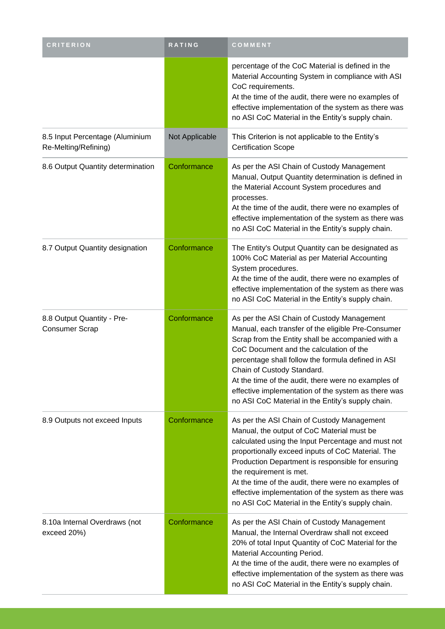| <b>CRITERION</b>                                        | RATING         | COMMENT                                                                                                                                                                                                                                                                                                                                                                                                                                                 |
|---------------------------------------------------------|----------------|---------------------------------------------------------------------------------------------------------------------------------------------------------------------------------------------------------------------------------------------------------------------------------------------------------------------------------------------------------------------------------------------------------------------------------------------------------|
|                                                         |                | percentage of the CoC Material is defined in the<br>Material Accounting System in compliance with ASI<br>CoC requirements.<br>At the time of the audit, there were no examples of<br>effective implementation of the system as there was<br>no ASI CoC Material in the Entity's supply chain.                                                                                                                                                           |
| 8.5 Input Percentage (Aluminium<br>Re-Melting/Refining) | Not Applicable | This Criterion is not applicable to the Entity's<br><b>Certification Scope</b>                                                                                                                                                                                                                                                                                                                                                                          |
| 8.6 Output Quantity determination                       | Conformance    | As per the ASI Chain of Custody Management<br>Manual, Output Quantity determination is defined in<br>the Material Account System procedures and<br>processes.<br>At the time of the audit, there were no examples of<br>effective implementation of the system as there was<br>no ASI CoC Material in the Entity's supply chain.                                                                                                                        |
| 8.7 Output Quantity designation                         | Conformance    | The Entity's Output Quantity can be designated as<br>100% CoC Material as per Material Accounting<br>System procedures.<br>At the time of the audit, there were no examples of<br>effective implementation of the system as there was<br>no ASI CoC Material in the Entity's supply chain.                                                                                                                                                              |
| 8.8 Output Quantity - Pre-<br><b>Consumer Scrap</b>     | Conformance    | As per the ASI Chain of Custody Management<br>Manual, each transfer of the eligible Pre-Consumer<br>Scrap from the Entity shall be accompanied with a<br>CoC Document and the calculation of the<br>percentage shall follow the formula defined in ASI<br>Chain of Custody Standard.<br>At the time of the audit, there were no examples of<br>effective implementation of the system as there was<br>no ASI CoC Material in the Entity's supply chain. |
| 8.9 Outputs not exceed Inputs                           | Conformance    | As per the ASI Chain of Custody Management<br>Manual, the output of CoC Material must be<br>calculated using the Input Percentage and must not<br>proportionally exceed inputs of CoC Material. The<br>Production Department is responsible for ensuring<br>the requirement is met.<br>At the time of the audit, there were no examples of<br>effective implementation of the system as there was<br>no ASI CoC Material in the Entity's supply chain.  |
| 8.10a Internal Overdraws (not<br>exceed 20%)            | Conformance    | As per the ASI Chain of Custody Management<br>Manual, the Internal Overdraw shall not exceed<br>20% of total Input Quantity of CoC Material for the<br>Material Accounting Period.<br>At the time of the audit, there were no examples of<br>effective implementation of the system as there was<br>no ASI CoC Material in the Entity's supply chain.                                                                                                   |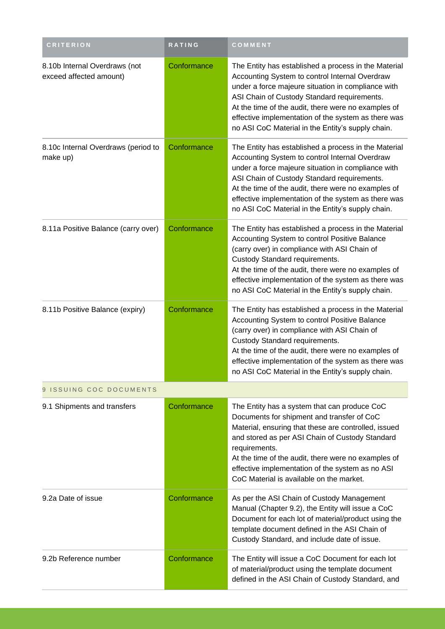| <b>CRITERION</b>                                         | <b>RATING</b> | COMMENT                                                                                                                                                                                                                                                                                                                                                                        |  |  |
|----------------------------------------------------------|---------------|--------------------------------------------------------------------------------------------------------------------------------------------------------------------------------------------------------------------------------------------------------------------------------------------------------------------------------------------------------------------------------|--|--|
| 8.10b Internal Overdraws (not<br>exceed affected amount) | Conformance   | The Entity has established a process in the Material<br>Accounting System to control Internal Overdraw<br>under a force majeure situation in compliance with<br>ASI Chain of Custody Standard requirements.<br>At the time of the audit, there were no examples of<br>effective implementation of the system as there was<br>no ASI CoC Material in the Entity's supply chain. |  |  |
| 8.10c Internal Overdraws (period to<br>make up)          | Conformance   | The Entity has established a process in the Material<br>Accounting System to control Internal Overdraw<br>under a force majeure situation in compliance with<br>ASI Chain of Custody Standard requirements.<br>At the time of the audit, there were no examples of<br>effective implementation of the system as there was<br>no ASI CoC Material in the Entity's supply chain. |  |  |
| 8.11a Positive Balance (carry over)                      | Conformance   | The Entity has established a process in the Material<br>Accounting System to control Positive Balance<br>(carry over) in compliance with ASI Chain of<br>Custody Standard requirements.<br>At the time of the audit, there were no examples of<br>effective implementation of the system as there was<br>no ASI CoC Material in the Entity's supply chain.                     |  |  |
| 8.11b Positive Balance (expiry)                          | Conformance   | The Entity has established a process in the Material<br>Accounting System to control Positive Balance<br>(carry over) in compliance with ASI Chain of<br>Custody Standard requirements.<br>At the time of the audit, there were no examples of<br>effective implementation of the system as there was<br>no ASI CoC Material in the Entity's supply chain.                     |  |  |
| ISSUING COC DOCUMENTS<br>9                               |               |                                                                                                                                                                                                                                                                                                                                                                                |  |  |
| 9.1 Shipments and transfers                              | Conformance   | The Entity has a system that can produce CoC<br>Documents for shipment and transfer of CoC<br>Material, ensuring that these are controlled, issued<br>and stored as per ASI Chain of Custody Standard<br>requirements.<br>At the time of the audit, there were no examples of<br>effective implementation of the system as no ASI<br>CoC Material is available on the market.  |  |  |
| 9.2a Date of issue                                       | Conformance   | As per the ASI Chain of Custody Management<br>Manual (Chapter 9.2), the Entity will issue a CoC<br>Document for each lot of material/product using the<br>template document defined in the ASI Chain of<br>Custody Standard, and include date of issue.                                                                                                                        |  |  |
| 9.2b Reference number                                    | Conformance   | The Entity will issue a CoC Document for each lot<br>of material/product using the template document<br>defined in the ASI Chain of Custody Standard, and                                                                                                                                                                                                                      |  |  |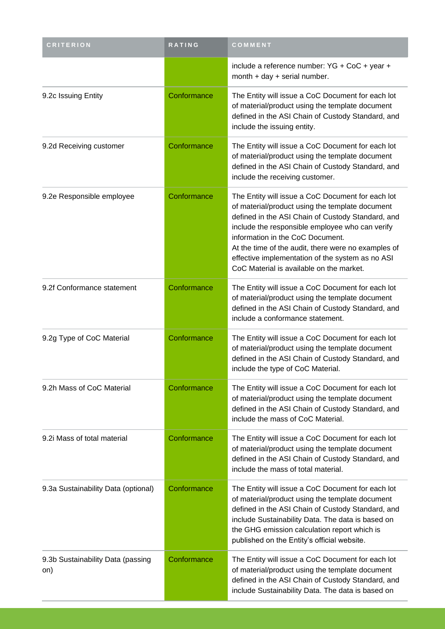| <b>CRITERION</b>                         | RATING      | COMMENT                                                                                                                                                                                                                                                                                                                                                                                                 |
|------------------------------------------|-------------|---------------------------------------------------------------------------------------------------------------------------------------------------------------------------------------------------------------------------------------------------------------------------------------------------------------------------------------------------------------------------------------------------------|
|                                          |             | include a reference number: YG + CoC + year +<br>month + day + serial number.                                                                                                                                                                                                                                                                                                                           |
| 9.2c Issuing Entity                      | Conformance | The Entity will issue a CoC Document for each lot<br>of material/product using the template document<br>defined in the ASI Chain of Custody Standard, and<br>include the issuing entity.                                                                                                                                                                                                                |
| 9.2d Receiving customer                  | Conformance | The Entity will issue a CoC Document for each lot<br>of material/product using the template document<br>defined in the ASI Chain of Custody Standard, and<br>include the receiving customer.                                                                                                                                                                                                            |
| 9.2e Responsible employee                | Conformance | The Entity will issue a CoC Document for each lot<br>of material/product using the template document<br>defined in the ASI Chain of Custody Standard, and<br>include the responsible employee who can verify<br>information in the CoC Document.<br>At the time of the audit, there were no examples of<br>effective implementation of the system as no ASI<br>CoC Material is available on the market. |
| 9.2f Conformance statement               | Conformance | The Entity will issue a CoC Document for each lot<br>of material/product using the template document<br>defined in the ASI Chain of Custody Standard, and<br>include a conformance statement.                                                                                                                                                                                                           |
| 9.2g Type of CoC Material                | Conformance | The Entity will issue a CoC Document for each lot<br>of material/product using the template document<br>defined in the ASI Chain of Custody Standard, and<br>include the type of CoC Material.                                                                                                                                                                                                          |
| 9.2h Mass of CoC Material                | Conformance | The Entity will issue a CoC Document for each lot<br>of material/product using the template document<br>defined in the ASI Chain of Custody Standard, and<br>include the mass of CoC Material.                                                                                                                                                                                                          |
| 9.2i Mass of total material              | Conformance | The Entity will issue a CoC Document for each lot<br>of material/product using the template document<br>defined in the ASI Chain of Custody Standard, and<br>include the mass of total material.                                                                                                                                                                                                        |
| 9.3a Sustainability Data (optional)      | Conformance | The Entity will issue a CoC Document for each lot<br>of material/product using the template document<br>defined in the ASI Chain of Custody Standard, and<br>include Sustainability Data. The data is based on<br>the GHG emission calculation report which is<br>published on the Entity's official website.                                                                                           |
| 9.3b Sustainability Data (passing<br>on) | Conformance | The Entity will issue a CoC Document for each lot<br>of material/product using the template document<br>defined in the ASI Chain of Custody Standard, and<br>include Sustainability Data. The data is based on                                                                                                                                                                                          |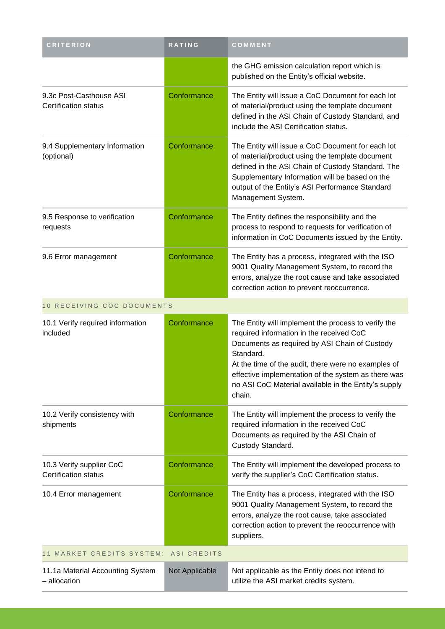| <b>CRITERION</b>                                        | RATING             | COMMENT                                                                                                                                                                                                                                                                                                                                       |
|---------------------------------------------------------|--------------------|-----------------------------------------------------------------------------------------------------------------------------------------------------------------------------------------------------------------------------------------------------------------------------------------------------------------------------------------------|
|                                                         |                    | the GHG emission calculation report which is<br>published on the Entity's official website.                                                                                                                                                                                                                                                   |
| 9.3c Post-Casthouse ASI<br><b>Certification status</b>  | Conformance        | The Entity will issue a CoC Document for each lot<br>of material/product using the template document<br>defined in the ASI Chain of Custody Standard, and<br>include the ASI Certification status.                                                                                                                                            |
| 9.4 Supplementary Information<br>(optional)             | Conformance        | The Entity will issue a CoC Document for each lot<br>of material/product using the template document<br>defined in the ASI Chain of Custody Standard. The<br>Supplementary Information will be based on the<br>output of the Entity's ASI Performance Standard<br>Management System.                                                          |
| 9.5 Response to verification<br>requests                | Conformance        | The Entity defines the responsibility and the<br>process to respond to requests for verification of<br>information in CoC Documents issued by the Entity.                                                                                                                                                                                     |
| 9.6 Error management                                    | Conformance        | The Entity has a process, integrated with the ISO<br>9001 Quality Management System, to record the<br>errors, analyze the root cause and take associated<br>correction action to prevent reoccurrence.                                                                                                                                        |
| 10 RECEIVING COC DOCUMENTS                              |                    |                                                                                                                                                                                                                                                                                                                                               |
| 10.1 Verify required information<br>included            | Conformance        | The Entity will implement the process to verify the<br>required information in the received CoC<br>Documents as required by ASI Chain of Custody<br>Standard.<br>At the time of the audit, there were no examples of<br>effective implementation of the system as there was<br>no ASI CoC Material available in the Entity's supply<br>chain. |
| 10.2 Verify consistency with<br>shipments               | Conformance        | The Entity will implement the process to verify the<br>required information in the received CoC<br>Documents as required by the ASI Chain of<br>Custody Standard.                                                                                                                                                                             |
| 10.3 Verify supplier CoC<br><b>Certification status</b> | Conformance        | The Entity will implement the developed process to<br>verify the supplier's CoC Certification status.                                                                                                                                                                                                                                         |
| 10.4 Error management                                   | Conformance        | The Entity has a process, integrated with the ISO<br>9001 Quality Management System, to record the<br>errors, analyze the root cause, take associated<br>correction action to prevent the reoccurrence with<br>suppliers.                                                                                                                     |
| 11 MARKET CREDITS SYSTEM:                               | <b>ASI CREDITS</b> |                                                                                                                                                                                                                                                                                                                                               |
| 11.1a Material Accounting System<br>- allocation        | Not Applicable     | Not applicable as the Entity does not intend to<br>utilize the ASI market credits system.                                                                                                                                                                                                                                                     |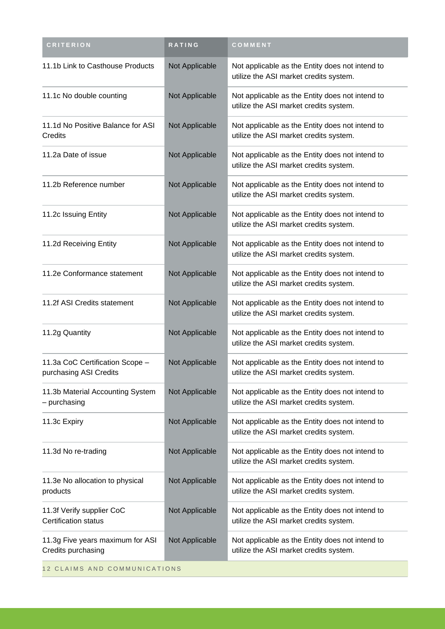| <b>CRITERION</b>                                          | RATING         | COMMENT                                                                                   |
|-----------------------------------------------------------|----------------|-------------------------------------------------------------------------------------------|
| 11.1b Link to Casthouse Products                          | Not Applicable | Not applicable as the Entity does not intend to<br>utilize the ASI market credits system. |
| 11.1c No double counting                                  | Not Applicable | Not applicable as the Entity does not intend to<br>utilize the ASI market credits system. |
| 11.1d No Positive Balance for ASI<br>Credits              | Not Applicable | Not applicable as the Entity does not intend to<br>utilize the ASI market credits system. |
| 11.2a Date of issue                                       | Not Applicable | Not applicable as the Entity does not intend to<br>utilize the ASI market credits system. |
| 11.2b Reference number                                    | Not Applicable | Not applicable as the Entity does not intend to<br>utilize the ASI market credits system. |
| 11.2c Issuing Entity                                      | Not Applicable | Not applicable as the Entity does not intend to<br>utilize the ASI market credits system. |
| 11.2d Receiving Entity                                    | Not Applicable | Not applicable as the Entity does not intend to<br>utilize the ASI market credits system. |
| 11.2e Conformance statement                               | Not Applicable | Not applicable as the Entity does not intend to<br>utilize the ASI market credits system. |
| 11.2f ASI Credits statement                               | Not Applicable | Not applicable as the Entity does not intend to<br>utilize the ASI market credits system. |
| 11.2g Quantity                                            | Not Applicable | Not applicable as the Entity does not intend to<br>utilize the ASI market credits system. |
| 11.3a CoC Certification Scope -<br>purchasing ASI Credits | Not Applicable | Not applicable as the Entity does not intend to<br>utilize the ASI market credits system. |
| 11.3b Material Accounting System<br>- purchasing          | Not Applicable | Not applicable as the Entity does not intend to<br>utilize the ASI market credits system. |
| 11.3c Expiry                                              | Not Applicable | Not applicable as the Entity does not intend to<br>utilize the ASI market credits system. |
| 11.3d No re-trading                                       | Not Applicable | Not applicable as the Entity does not intend to<br>utilize the ASI market credits system. |
| 11.3e No allocation to physical<br>products               | Not Applicable | Not applicable as the Entity does not intend to<br>utilize the ASI market credits system. |
| 11.3f Verify supplier CoC<br><b>Certification status</b>  | Not Applicable | Not applicable as the Entity does not intend to<br>utilize the ASI market credits system. |
| 11.3g Five years maximum for ASI<br>Credits purchasing    | Not Applicable | Not applicable as the Entity does not intend to<br>utilize the ASI market credits system. |
| 12 CLAIMS AND COMMUNICATIONS                              |                |                                                                                           |